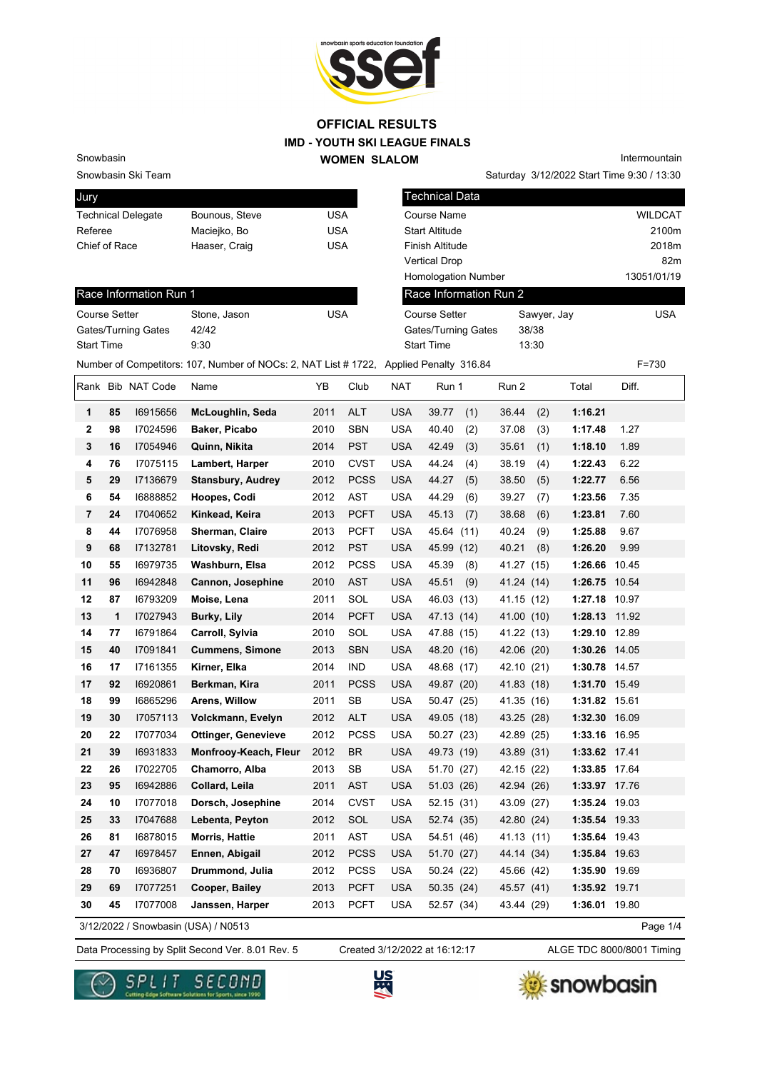

Snowbasin Ski Team

Snowbasin

| Jury                      |                |     |
|---------------------------|----------------|-----|
| <b>Technical Delegate</b> | Bounous, Steve | USA |
| Referee                   | Maciejko, Bo   | USA |
| Chief of Race             | Haaser, Craig  | USA |
|                           |                |     |

| Intermountain                              |
|--------------------------------------------|
| Saturday 3/12/2022 Start Time 9:30 / 13:30 |

| Jury                 |    |                           |                                                                                        |            |             |            | <b>Technical Data</b>      |      |                        |             |                             |             |                |
|----------------------|----|---------------------------|----------------------------------------------------------------------------------------|------------|-------------|------------|----------------------------|------|------------------------|-------------|-----------------------------|-------------|----------------|
|                      |    | <b>Technical Delegate</b> | Bounous, Steve                                                                         | <b>USA</b> |             |            | Course Name                |      |                        |             |                             |             | <b>WILDCAT</b> |
| Referee              |    |                           | Maciejko, Bo                                                                           | <b>USA</b> |             |            | <b>Start Altitude</b>      |      |                        |             |                             |             | 2100m          |
| Chief of Race        |    |                           | Haaser, Craig                                                                          | <b>USA</b> |             |            | Finish Altitude            |      |                        |             |                             |             | 2018m          |
|                      |    |                           |                                                                                        |            |             |            | <b>Vertical Drop</b>       |      |                        |             |                             |             | 82m            |
|                      |    |                           |                                                                                        |            |             |            | <b>Homologation Number</b> |      |                        |             |                             | 13051/01/19 |                |
|                      |    | Race Information Run 1    |                                                                                        |            |             |            |                            |      | Race Information Run 2 |             |                             |             |                |
| <b>Course Setter</b> |    |                           | Stone, Jason                                                                           | <b>USA</b> |             |            | <b>Course Setter</b>       |      |                        | Sawyer, Jay |                             |             | <b>USA</b>     |
|                      |    | Gates/Turning Gates       | 42/42                                                                                  |            |             |            | Gates/Turning Gates        |      |                        | 38/38       |                             |             |                |
| <b>Start Time</b>    |    |                           | 9:30                                                                                   |            |             |            | <b>Start Time</b>          |      |                        | 13:30       |                             |             |                |
|                      |    |                           | Number of Competitors: 107, Number of NOCs: 2, NAT List # 1722, Applied Penalty 316.84 |            |             |            |                            |      |                        |             |                             | $F = 730$   |                |
|                      |    | Rank Bib NAT Code         | Name                                                                                   | YB         | Club        | <b>NAT</b> | Run 1                      |      | Run 2                  |             | Total                       | Diff.       |                |
| 1                    | 85 | 16915656                  | McLoughlin, Seda                                                                       | 2011       | <b>ALT</b>  | <b>USA</b> | 39.77                      | (1)  | 36.44                  | (2)         | 1:16.21                     |             |                |
| $\mathbf 2$          | 98 | 17024596                  | Baker, Picabo                                                                          | 2010       | <b>SBN</b>  | <b>USA</b> | 40.40                      | (2)  | 37.08                  | (3)         | 1:17.48                     | 1.27        |                |
| 3                    | 16 | 17054946                  | Quinn, Nikita                                                                          | 2014       | <b>PST</b>  | <b>USA</b> | 42.49                      | (3)  | 35.61                  | (1)         | 1:18.10                     | 1.89        |                |
| 4                    | 76 | 17075115                  | Lambert, Harper                                                                        | 2010       | <b>CVST</b> | <b>USA</b> | 44.24                      | (4)  | 38.19                  | (4)         | 1:22.43                     | 6.22        |                |
| 5                    | 29 | 17136679                  | <b>Stansbury, Audrey</b>                                                               | 2012       | <b>PCSS</b> | <b>USA</b> | 44.27                      | (5)  | 38.50                  | (5)         | 1:22.77                     | 6.56        |                |
| 6                    | 54 | 16888852                  | Hoopes, Codi                                                                           | 2012       | AST         | <b>USA</b> | 44.29                      | (6)  | 39.27                  | (7)         | 1:23.56                     | 7.35        |                |
| $\overline{7}$       | 24 | 17040652                  | Kinkead, Keira                                                                         | 2013       | <b>PCFT</b> | <b>USA</b> | 45.13                      | (7)  | 38.68                  | (6)         | 1:23.81                     | 7.60        |                |
| 8                    | 44 | 17076958                  | Sherman, Claire                                                                        | 2013       | <b>PCFT</b> | <b>USA</b> | 45.64                      | (11) | 40.24                  | (9)         | 1:25.88                     | 9.67        |                |
| 9                    | 68 | 17132781                  | Litovsky, Redi                                                                         | 2012       | <b>PST</b>  | <b>USA</b> | 45.99 (12)                 |      | 40.21                  | (8)         | 1:26.20                     | 9.99        |                |
| 10                   | 55 | 16979735                  | Washburn, Elsa                                                                         | 2012       | <b>PCSS</b> | <b>USA</b> | 45.39                      | (8)  | 41.27 (15)             |             | 1:26.66                     | 10.45       |                |
| 11                   | 96 | 16942848                  | Cannon, Josephine                                                                      | 2010       | <b>AST</b>  | <b>USA</b> | 45.51                      | (9)  | 41.24 (14)             |             | 1:26.75 10.54               |             |                |
| 12                   | 87 | 16793209                  | Moise, Lena                                                                            | 2011       | SOL         | <b>USA</b> | 46.03 (13)                 |      | 41.15 (12)             |             | 1:27.18 10.97               |             |                |
| 13                   | 1  | 17027943                  | Burky, Lily                                                                            | 2014       | <b>PCFT</b> | <b>USA</b> | 47.13 (14)                 |      | 41.00 (10)             |             | 1:28.13 11.92               |             |                |
| 14                   | 77 | 16791864                  | Carroll, Sylvia                                                                        | 2010       | SOL         | <b>USA</b> | 47.88 (15)                 |      | 41.22 (13)             |             | 1:29.10 12.89               |             |                |
| 15                   | 40 | 17091841                  | <b>Cummens, Simone</b>                                                                 | 2013       | <b>SBN</b>  | <b>USA</b> | 48.20 (16)                 |      | 42.06 (20)             |             | 1:30.26 14.05               |             |                |
| 16                   | 17 | I7161355                  | Kirner, Elka                                                                           | 2014       | <b>IND</b>  | <b>USA</b> | 48.68 (17)                 |      | 42.10 (21)             |             | 1:30.78 14.57               |             |                |
| 17                   | 92 | 16920861                  | Berkman, Kira                                                                          | 2011       | <b>PCSS</b> | <b>USA</b> | 49.87 (20)                 |      | 41.83 (18)             |             | 1:31.70 15.49               |             |                |
| 18                   | 99 | 16865296                  | Arens, Willow                                                                          | 2011       | <b>SB</b>   | <b>USA</b> | 50.47 (25)                 |      | 41.35 (16)             |             | 1:31.82                     | 15.61       |                |
| 19                   | 30 | 17057113                  | Volckmann, Evelyn                                                                      | 2012       | <b>ALT</b>  | <b>USA</b> | 49.05 (18)                 |      | 43.25 (28)             |             | 1:32.30                     | 16.09       |                |
| 20                   | 22 | 17077034                  | <b>Ottinger, Genevieve</b>                                                             | 2012       | <b>PCSS</b> | <b>USA</b> | 50.27 (23)                 |      | 42.89 (25)             |             | 1:33.16 16.95               |             |                |
| 21                   | 39 | 16931833                  | Monfrooy-Keach, Fleur                                                                  | 2012       | <b>BR</b>   | <b>USA</b> | 49.73 (19)                 |      | 43.89 (31)             |             | 1:33.62 17.41               |             |                |
| 22                   | 26 | 17022705                  | Chamorro, Alba                                                                         | 2013       | SB          | <b>USA</b> | 51.70 (27)                 |      | 42.15 (22)             |             | 1:33.85 17.64               |             |                |
| 23                   | 95 | 16942886                  | Collard, Leila                                                                         | 2011       | <b>AST</b>  | <b>USA</b> | 51.03 (26)                 |      | 42.94 (26)             |             | 1:33.97 17.76               |             |                |
|                      |    |                           |                                                                                        | -- - -     |             |            | $ -$                       |      |                        |             | $\sim$ $\sim$ $\sim$ $\sim$ |             |                |

#### Race Information Run 1

| Stone, Jason | USA |
|--------------|-----|
| 42/42        |     |
| 9.30         |     |
|              |     |

|    |    | 171 Y 1997 | "                          |      |             | ັບບາ       | 71.001101     | TILL 11V1     | 1.LV.IV 14.VV |       |
|----|----|------------|----------------------------|------|-------------|------------|---------------|---------------|---------------|-------|
| 15 | 40 | 17091841   | <b>Cummens, Simone</b>     | 2013 | <b>SBN</b>  | <b>USA</b> | 48.20 (16)    | 42.06 (20)    | 1:30.26 14.05 |       |
| 16 | 17 | 17161355   | Kirner, Elka               | 2014 | <b>IND</b>  | <b>USA</b> | 48.68<br>(17) | 42.10<br>(21) | 1:30.78 14.57 |       |
| 17 | 92 | 16920861   | Berkman, Kira              | 2011 | <b>PCSS</b> | <b>USA</b> | 49.87 (20)    | 41.83 (18)    | 1:31.70 15.49 |       |
| 18 | 99 | 16865296   | <b>Arens. Willow</b>       | 2011 | SB          | <b>USA</b> | (25)<br>50.47 | 41.35 (16)    | 1:31.82 15.61 |       |
| 19 | 30 | 17057113   | Volckmann, Evelyn          | 2012 | <b>ALT</b>  | <b>USA</b> | 49.05 (18)    | 43.25 (28)    | 1:32.30 16.09 |       |
| 20 | 22 | 17077034   | <b>Ottinger, Genevieve</b> | 2012 | <b>PCSS</b> | <b>USA</b> | 50.27<br>(23) | 42.89 (25)    | 1:33.16 16.95 |       |
| 21 | 39 | 16931833   | Monfrooy-Keach, Fleur      | 2012 | <b>BR</b>   | <b>USA</b> | 49.73 (19)    | 43.89 (31)    | 1:33.62 17.41 |       |
| 22 | 26 | 17022705   | <b>Chamorro, Alba</b>      | 2013 | <b>SB</b>   | <b>USA</b> | 51.70<br>(27) | 42.15 (22)    | 1:33.85 17.64 |       |
| 23 | 95 | 16942886   | Collard, Leila             | 2011 | <b>AST</b>  | <b>USA</b> | 51.03(26)     | 42.94 (26)    | 1:33.97 17.76 |       |
| 24 | 10 | 17077018   | Dorsch, Josephine          | 2014 | <b>CVST</b> | <b>USA</b> | 52.15(31)     | 43.09<br>(27) | 1:35.24       | 19.03 |
| 25 | 33 | 17047688   | Lebenta, Peyton            | 2012 | SOL         | <b>USA</b> | 52.74 (35)    | 42.80 (24)    | 1:35.54 19.33 |       |

3/12/2022 / Snowbasin (USA) / N0513

Data Processing by Split Second Ver. 8.01 Rev. 5 Created 3/12/2022 at 16:12:17 ALGE TDC 8000/8001 Timing Created 3/12/2022 at 16:12:17

Page 1/4





**26 81** I6878015 **Morris, Hattie** 2011 AST USA 54.51 (46) 41.13 (11) **1:35.64** 19.43 **27 47** I6978457 **Ennen, Abigail** 2012 PCSS USA 51.70 (27) 44.14 (34) **1:35.84** 19.63 **28 70** I6936807 **Drummond, Julia** 2012 PCSS USA 50.24 (22) 45.66 (42) **1:35.90** 19.69 **29 69** I7077251 **Cooper, Bailey** 2013 PCFT USA 50.35 (24) 45.57 (41) **1:35.92** 19.71 **30 45** I7077008 **Janssen, Harper** 2013 PCFT USA 52.57 (34) 43.44 (29) **1:36.01** 19.80

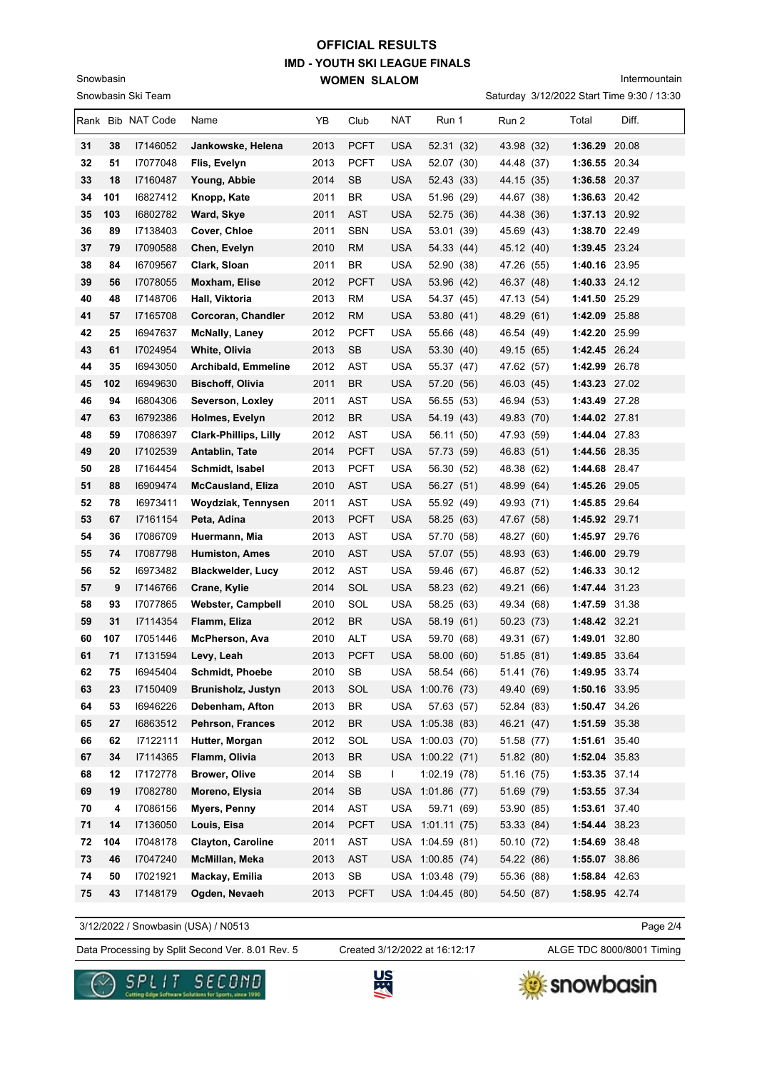Intermountain

|          |     | Snowbasin Ski Team   |                              |      |             |            |                  |            | Saturday 3/12/2022 Start Time 9:30 / 13:30 |       |
|----------|-----|----------------------|------------------------------|------|-------------|------------|------------------|------------|--------------------------------------------|-------|
|          |     | Rank Bib NAT Code    | Name                         | YB   | Club        | NAT        | Run 1            | Run 2      | Total                                      | Diff. |
| 31       | 38  | 17146052             | Jankowske, Helena            | 2013 | <b>PCFT</b> | <b>USA</b> | 52.31 (32)       | 43.98 (32) | 1:36.29 20.08                              |       |
| 32       | 51  | 17077048             | Flis, Evelyn                 | 2013 | <b>PCFT</b> | <b>USA</b> | 52.07 (30)       | 44.48 (37) | 1:36.55 20.34                              |       |
| 33       | 18  | 17160487             | Young, Abbie                 | 2014 | <b>SB</b>   | <b>USA</b> | 52.43 (33)       | 44.15 (35) | 1:36.58 20.37                              |       |
| 34       | 101 | 16827412             | Knopp, Kate                  | 2011 | BR.         | USA        | 51.96 (29)       | 44.67 (38) | 1:36.63 20.42                              |       |
| 35       | 103 | 16802782             | Ward, Skye                   | 2011 | <b>AST</b>  | <b>USA</b> | 52.75 (36)       | 44.38 (36) | 1:37.13 20.92                              |       |
| 36       | 89  | 17138403             | Cover, Chloe                 | 2011 | <b>SBN</b>  | <b>USA</b> | 53.01 (39)       | 45.69 (43) | 1:38.70 22.49                              |       |
| 37       | 79  | 17090588             | Chen, Evelyn                 | 2010 | RM          | <b>USA</b> | 54.33 (44)       | 45.12 (40) | 1:39.45 23.24                              |       |
| 38       | 84  | 16709567             | Clark, Sloan                 | 2011 | BR          | <b>USA</b> | 52.90 (38)       | 47.26 (55) | 1:40.16 23.95                              |       |
| 39       | 56  | 17078055             | Moxham, Elise                | 2012 | <b>PCFT</b> | USA        | 53.96 (42)       | 46.37 (48) | 1:40.33 24.12                              |       |
| 40       | 48  | 17148706             | Hall, Viktoria               | 2013 | RM          | USA        | 54.37 (45)       | 47.13 (54) | 1:41.50 25.29                              |       |
| 41       | 57  | 17165708             | Corcoran, Chandler           | 2012 | <b>RM</b>   | <b>USA</b> | 53.80 (41)       | 48.29 (61) | 1:42.09 25.88                              |       |
| 42       | 25  | 16947637             | <b>McNally, Laney</b>        | 2012 | <b>PCFT</b> | <b>USA</b> | 55.66 (48)       | 46.54 (49) | 1:42.20 25.99                              |       |
| 43       | 61  | 17024954             | White, Olivia                | 2013 | <b>SB</b>   | <b>USA</b> | 53.30 (40)       | 49.15 (65) | 1:42.45 26.24                              |       |
| 44       | 35  | 16943050             | Archibald, Emmeline          | 2012 | AST         | <b>USA</b> | 55.37 (47)       | 47.62 (57) | 1:42.99 26.78                              |       |
| 45       | 102 | 16949630             | <b>Bischoff, Olivia</b>      | 2011 | <b>BR</b>   | <b>USA</b> | 57.20 (56)       | 46.03 (45) | 1:43.23 27.02                              |       |
| 46       | 94  | 16804306             | Severson, Loxley             | 2011 | AST         | <b>USA</b> | 56.55 (53)       | 46.94 (53) | 1:43.49 27.28                              |       |
| 47       | 63  | 16792386             | Holmes, Evelyn               | 2012 | <b>BR</b>   | <b>USA</b> | 54.19 (43)       | 49.83 (70) | 1:44.02 27.81                              |       |
| 48       | 59  | 17086397             | <b>Clark-Phillips, Lilly</b> | 2012 | AST         | <b>USA</b> | 56.11 (50)       | 47.93 (59) | 1:44.04 27.83                              |       |
| 49       | 20  | 17102539             | Antablin, Tate               | 2014 | <b>PCFT</b> | <b>USA</b> | 57.73 (59)       | 46.83 (51) | 1:44.56 28.35                              |       |
| 50       | 28  | 17164454             | Schmidt, Isabel              | 2013 | <b>PCFT</b> | <b>USA</b> | 56.30 (52)       | 48.38 (62) | 1:44.68 28.47                              |       |
| 51       | 88  | 16909474             | <b>McCausland, Eliza</b>     | 2010 | <b>AST</b>  | <b>USA</b> | 56.27 (51)       | 48.99 (64) | 1:45.26 29.05                              |       |
| 52       | 78  | 16973411             | Woydziak, Tennysen           | 2011 | AST         | <b>USA</b> | 55.92 (49)       | 49.93 (71) | 1:45.85 29.64                              |       |
| 53       | 67  | 17161154             | Peta, Adina                  | 2013 | <b>PCFT</b> | <b>USA</b> | 58.25 (63)       | 47.67 (58) | 1:45.92 29.71                              |       |
| 54       | 36  | 17086709             | Huermann, Mia                | 2013 | <b>AST</b>  | <b>USA</b> | 57.70 (58)       | 48.27 (60) | 1:45.97 29.76                              |       |
| 55       | 74  | 17087798             | <b>Humiston, Ames</b>        | 2010 | <b>AST</b>  | <b>USA</b> | 57.07 (55)       | 48.93 (63) | 1:46.00 29.79                              |       |
| 56       | 52  | 16973482             | <b>Blackwelder, Lucy</b>     | 2012 | AST         | <b>USA</b> | 59.46 (67)       | 46.87 (52) | 1:46.33 30.12                              |       |
| 57       | 9   | 17146766             | Crane, Kylie                 | 2014 | SOL         | <b>USA</b> | 58.23 (62)       | 49.21 (66) | 1:47.44 31.23                              |       |
| 58       | 93  | 17077865             | <b>Webster, Campbell</b>     | 2010 | SOL         | <b>USA</b> | 58.25 (63)       | 49.34 (68) | 1:47.59 31.38                              |       |
| 59       | 31  | 17114354             | Flamm, Eliza                 | 2012 | BR          | USA        | 58.19 (61)       | 50.23 (73) | 1:48.42 32.21                              |       |
| 60       | 107 | 17051446             | <b>McPherson, Ava</b>        | 2010 | <b>ALT</b>  | USA        | 59.70 (68)       | 49.31 (67) | 1:49.01 32.80                              |       |
| 61       | 71  | 17131594             | Levy. Leah                   | 2013 | PCFT        | USA        | 58.00 (60)       | 51.85 (81) | 1:49.85 33.64                              |       |
| 62       | 75  | 16945404             | Schmidt, Phoebe              | 2010 | ${\sf SB}$  | <b>USA</b> | 58.54 (66)       | 51.41 (76) | 1:49.95 33.74                              |       |
| 63       | 23  | 17150409             | Brunisholz, Justyn           | 2013 | SOL         |            | USA 1:00.76 (73) | 49.40 (69) | 1:50.16 33.95                              |       |
| 64       | 53  | 16946226             | Debenham, Afton              | 2013 | <b>BR</b>   | <b>USA</b> | 57.63 (57)       | 52.84 (83) | 1:50.47 34.26                              |       |
| 65       | 27  | 16863512             | Pehrson, Frances             | 2012 | <b>BR</b>   |            | USA 1:05.38 (83) | 46.21 (47) | 1:51.59 35.38                              |       |
| 66       | 62  | 17122111             | Hutter, Morgan               | 2012 | SOL         |            | USA 1:00.03 (70) | 51.58 (77) | 1:51.61 35.40                              |       |
| 67       | 34  | 17114365             | Flamm, Olivia                | 2013 | <b>BR</b>   |            | USA 1:00.22 (71) | 51.82 (80) | 1:52.04 35.83                              |       |
| 68       | 12  | 17172778<br>17082780 | <b>Brower, Olive</b>         | 2014 | SB          | L          | 1:02.19(78)      | 51.16 (75) | 1:53.35 37.14                              |       |
| 69       | 19  |                      | Moreno, Elysia               | 2014 | SB          |            | USA 1:01.86 (77) | 51.69 (79) | 1:53.55 37.34                              |       |
| 70       | 4   | 17086156             | Myers, Penny                 | 2014 | AST         | <b>USA</b> | 59.71 (69)       | 53.90 (85) | 1:53.61 37.40                              |       |
| 71       | 14  | 17136050             | Louis, Eisa                  | 2014 | <b>PCFT</b> |            | USA 1:01.11 (75) | 53.33 (84) | 1:54.44 38.23                              |       |
| 72       | 104 | 17048178             | <b>Clayton, Caroline</b>     | 2011 | AST         |            | USA 1:04.59 (81) | 50.10 (72) | 1:54.69 38.48                              |       |
| 73<br>74 | 46  | 17047240<br>17021921 | McMillan, Meka               | 2013 | AST         |            | USA 1:00.85 (74) | 54.22 (86) | 1:55.07 38.86                              |       |
|          | 50  |                      | Mackay, Emilia               | 2013 | SB          |            | USA 1:03.48 (79) | 55.36 (88) | 1:58.84 42.63                              |       |
| 75       | 43  | 17148179             | Ogden, Nevaeh                | 2013 | <b>PCFT</b> |            | USA 1:04.45 (80) | 54.50 (87) | 1:58.95 42.74                              |       |

3/12/2022 / Snowbasin (USA) / N0513

Snowbasin

Data Processing by Split Second Ver. 8.01 Rev. 5 Created 3/12/2022 at 16:12:17 ALGE TDC 8000/8001 Timing Created 3/12/2022 at 16:12:17

Page 2/4





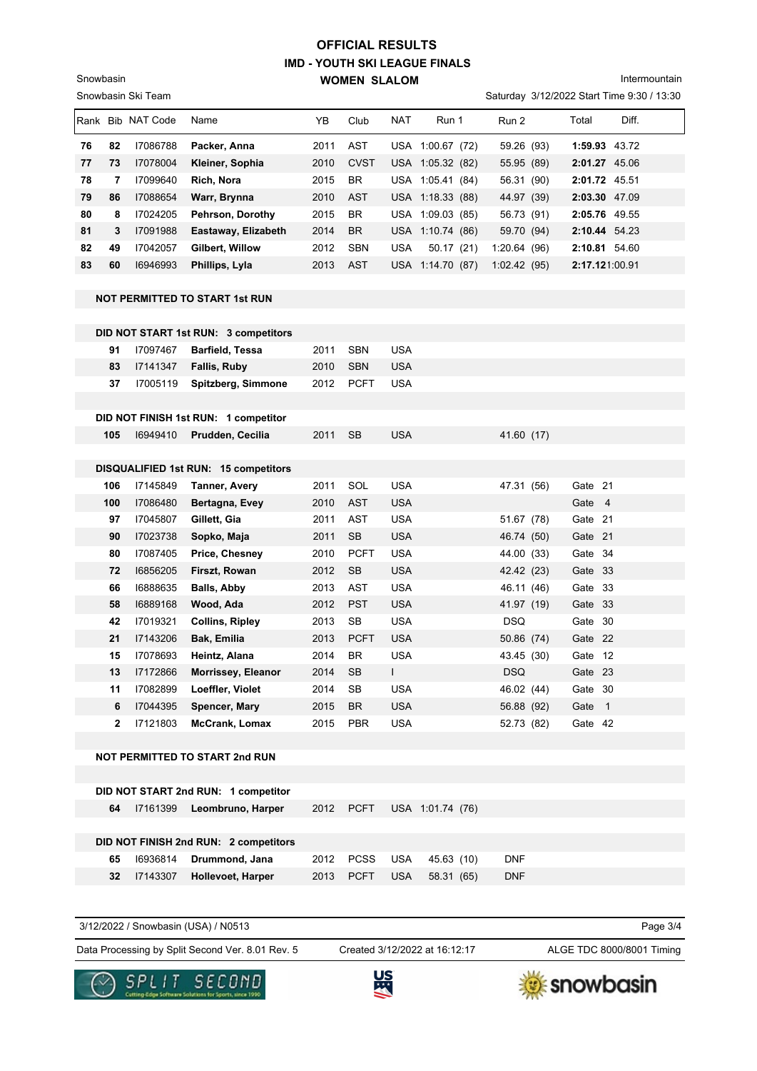Intermountain

|    |     | Snowbasin Ski Team |                                       |                                                                                                                                                                                                                                                                                                                                                                                                                                                                                                                                                                                                                                                                                                                                                                                                                                                                                                                                                                                                                                                                                                                                                                                                                                                                                                                                                                                                                                                                                                                                                                                                                                                                                               |             |            |  |       |       |       |
|----|-----|--------------------|---------------------------------------|-----------------------------------------------------------------------------------------------------------------------------------------------------------------------------------------------------------------------------------------------------------------------------------------------------------------------------------------------------------------------------------------------------------------------------------------------------------------------------------------------------------------------------------------------------------------------------------------------------------------------------------------------------------------------------------------------------------------------------------------------------------------------------------------------------------------------------------------------------------------------------------------------------------------------------------------------------------------------------------------------------------------------------------------------------------------------------------------------------------------------------------------------------------------------------------------------------------------------------------------------------------------------------------------------------------------------------------------------------------------------------------------------------------------------------------------------------------------------------------------------------------------------------------------------------------------------------------------------------------------------------------------------------------------------------------------------|-------------|------------|--|-------|-------|-------|
|    |     | Rank Bib NAT Code  | Name                                  | ΥB                                                                                                                                                                                                                                                                                                                                                                                                                                                                                                                                                                                                                                                                                                                                                                                                                                                                                                                                                                                                                                                                                                                                                                                                                                                                                                                                                                                                                                                                                                                                                                                                                                                                                            | Club        | <b>NAT</b> |  | Run 2 | Total | Diff. |
| 76 | 82  | 17086788           | Packer, Anna                          | 2011                                                                                                                                                                                                                                                                                                                                                                                                                                                                                                                                                                                                                                                                                                                                                                                                                                                                                                                                                                                                                                                                                                                                                                                                                                                                                                                                                                                                                                                                                                                                                                                                                                                                                          | AST         |            |  |       |       |       |
| 77 | 73  | 17078004           | Kleiner, Sophia                       | 2010                                                                                                                                                                                                                                                                                                                                                                                                                                                                                                                                                                                                                                                                                                                                                                                                                                                                                                                                                                                                                                                                                                                                                                                                                                                                                                                                                                                                                                                                                                                                                                                                                                                                                          | <b>CVST</b> |            |  |       |       |       |
| 78 | 7   | 17099640           | Rich, Nora                            | 2015                                                                                                                                                                                                                                                                                                                                                                                                                                                                                                                                                                                                                                                                                                                                                                                                                                                                                                                                                                                                                                                                                                                                                                                                                                                                                                                                                                                                                                                                                                                                                                                                                                                                                          | BR          |            |  |       |       |       |
| 79 | 86  | 17088654           | Warr, Brynna                          | 2010                                                                                                                                                                                                                                                                                                                                                                                                                                                                                                                                                                                                                                                                                                                                                                                                                                                                                                                                                                                                                                                                                                                                                                                                                                                                                                                                                                                                                                                                                                                                                                                                                                                                                          | <b>AST</b>  |            |  |       |       |       |
| 80 | 8   | 17024205           | Pehrson, Dorothy                      | 2015                                                                                                                                                                                                                                                                                                                                                                                                                                                                                                                                                                                                                                                                                                                                                                                                                                                                                                                                                                                                                                                                                                                                                                                                                                                                                                                                                                                                                                                                                                                                                                                                                                                                                          | BR          |            |  |       |       |       |
| 81 | 3   | 17091988           | Eastaway, Elizabeth                   | 2014                                                                                                                                                                                                                                                                                                                                                                                                                                                                                                                                                                                                                                                                                                                                                                                                                                                                                                                                                                                                                                                                                                                                                                                                                                                                                                                                                                                                                                                                                                                                                                                                                                                                                          | <b>BR</b>   |            |  |       |       |       |
| 82 | 49  | 17042057           | Gilbert, Willow                       | 2012                                                                                                                                                                                                                                                                                                                                                                                                                                                                                                                                                                                                                                                                                                                                                                                                                                                                                                                                                                                                                                                                                                                                                                                                                                                                                                                                                                                                                                                                                                                                                                                                                                                                                          | <b>SBN</b>  | <b>USA</b> |  |       |       |       |
| 83 | 60  | 16946993           | Phillips, Lyla                        | 2013                                                                                                                                                                                                                                                                                                                                                                                                                                                                                                                                                                                                                                                                                                                                                                                                                                                                                                                                                                                                                                                                                                                                                                                                                                                                                                                                                                                                                                                                                                                                                                                                                                                                                          | AST         |            |  |       |       |       |
|    |     |                    |                                       |                                                                                                                                                                                                                                                                                                                                                                                                                                                                                                                                                                                                                                                                                                                                                                                                                                                                                                                                                                                                                                                                                                                                                                                                                                                                                                                                                                                                                                                                                                                                                                                                                                                                                               |             |            |  |       |       |       |
|    |     |                    | NOT PERMITTED TO START 1st RUN        | Saturday 3/12/2022 Start Time 9:30 / 13:30<br>Run 1<br>1:59.93 43.72<br>USA 1:00.67 (72)<br>59.26 (93)<br>USA 1:05.32 (82)<br>55.95 (89)<br>2:01.27 45.06<br>USA 1:05.41 (84)<br>56.31 (90)<br>2:01.72 45.51<br>2:03.30 47.09<br>USA 1:18.33 (88)<br>44.97 (39)<br>USA 1:09.03 (85)<br>2:05.76 49.55<br>56.73 (91)<br>USA 1:10.74 (86)<br>59.70 (94)<br>2:10.44 54.23<br>1:20.64(96)<br>2:10.81 54.60<br>50.17(21)<br>2:17.121:00.91<br>USA 1:14.70 (87)<br>1:02.42(95)<br><b>SBN</b><br><b>USA</b><br>2011<br><b>SBN</b><br><b>USA</b><br>2010<br>2012<br><b>PCFT</b><br><b>USA</b><br><b>SB</b><br><b>USA</b><br>2011<br>41.60 (17)<br><b>USA</b><br>Gate 21<br>2011<br>SOL<br>47.31 (56)<br><b>AST</b><br><b>USA</b><br>Gate 4<br>2010<br><b>AST</b><br><b>USA</b><br>2011<br>Gate 21<br>51.67 (78)<br><b>USA</b><br>2011<br><b>SB</b><br>46.74 (50)<br>Gate 21<br><b>PCFT</b><br><b>USA</b><br>Gate 34<br>2010<br>44.00 (33)<br><b>SB</b><br><b>USA</b><br>2012<br>42.42 (23)<br>Gate 33<br>AST<br><b>USA</b><br>Gate 33<br>2013<br>46.11 (46)<br><b>USA</b><br>2012<br><b>PST</b><br>41.97 (19)<br>Gate 33<br>SB<br><b>USA</b><br><b>DSQ</b><br>2013<br>Gate 30<br>2013<br><b>PCFT</b><br><b>USA</b><br>50.86 (74)<br>Gate 22<br>2014<br>BR<br><b>USA</b><br>43.45 (30)<br>Gate 12<br>L<br><b>DSQ</b><br>2014<br><b>SB</b><br>Gate 23<br>2014<br>SB<br><b>USA</b><br>46.02 (44)<br>Gate 30<br><b>USA</b><br>2015<br><b>BR</b><br>56.88 (92)<br>Gate 1<br>2015<br>PBR<br><b>USA</b><br>Gate 42<br>52.73 (82)<br>2012<br><b>PCFT</b><br>USA 1:01.74 (76)<br><b>PCSS</b><br><b>USA</b><br>45.63 (10)<br><b>DNF</b><br>2012<br>2013<br><b>PCFT</b><br><b>USA</b><br>58.31 (65)<br><b>DNF</b> |             |            |  |       |       |       |
|    |     |                    |                                       |                                                                                                                                                                                                                                                                                                                                                                                                                                                                                                                                                                                                                                                                                                                                                                                                                                                                                                                                                                                                                                                                                                                                                                                                                                                                                                                                                                                                                                                                                                                                                                                                                                                                                               |             |            |  |       |       |       |
|    |     |                    | DID NOT START 1st RUN: 3 competitors  |                                                                                                                                                                                                                                                                                                                                                                                                                                                                                                                                                                                                                                                                                                                                                                                                                                                                                                                                                                                                                                                                                                                                                                                                                                                                                                                                                                                                                                                                                                                                                                                                                                                                                               |             |            |  |       |       |       |
|    | 91  | 17097467           | <b>Barfield, Tessa</b>                |                                                                                                                                                                                                                                                                                                                                                                                                                                                                                                                                                                                                                                                                                                                                                                                                                                                                                                                                                                                                                                                                                                                                                                                                                                                                                                                                                                                                                                                                                                                                                                                                                                                                                               |             |            |  |       |       |       |
|    | 83  | 17141347           | <b>Fallis, Ruby</b>                   |                                                                                                                                                                                                                                                                                                                                                                                                                                                                                                                                                                                                                                                                                                                                                                                                                                                                                                                                                                                                                                                                                                                                                                                                                                                                                                                                                                                                                                                                                                                                                                                                                                                                                               |             |            |  |       |       |       |
|    | 37  | 17005119           | Spitzberg, Simmone                    |                                                                                                                                                                                                                                                                                                                                                                                                                                                                                                                                                                                                                                                                                                                                                                                                                                                                                                                                                                                                                                                                                                                                                                                                                                                                                                                                                                                                                                                                                                                                                                                                                                                                                               |             |            |  |       |       |       |
|    |     |                    |                                       |                                                                                                                                                                                                                                                                                                                                                                                                                                                                                                                                                                                                                                                                                                                                                                                                                                                                                                                                                                                                                                                                                                                                                                                                                                                                                                                                                                                                                                                                                                                                                                                                                                                                                               |             |            |  |       |       |       |
|    |     |                    | DID NOT FINISH 1st RUN: 1 competitor  |                                                                                                                                                                                                                                                                                                                                                                                                                                                                                                                                                                                                                                                                                                                                                                                                                                                                                                                                                                                                                                                                                                                                                                                                                                                                                                                                                                                                                                                                                                                                                                                                                                                                                               |             |            |  |       |       |       |
|    | 105 | 16949410           | Prudden, Cecilia                      |                                                                                                                                                                                                                                                                                                                                                                                                                                                                                                                                                                                                                                                                                                                                                                                                                                                                                                                                                                                                                                                                                                                                                                                                                                                                                                                                                                                                                                                                                                                                                                                                                                                                                               |             |            |  |       |       |       |
|    |     |                    |                                       |                                                                                                                                                                                                                                                                                                                                                                                                                                                                                                                                                                                                                                                                                                                                                                                                                                                                                                                                                                                                                                                                                                                                                                                                                                                                                                                                                                                                                                                                                                                                                                                                                                                                                               |             |            |  |       |       |       |
|    |     |                    | DISQUALIFIED 1st RUN: 15 competitors  |                                                                                                                                                                                                                                                                                                                                                                                                                                                                                                                                                                                                                                                                                                                                                                                                                                                                                                                                                                                                                                                                                                                                                                                                                                                                                                                                                                                                                                                                                                                                                                                                                                                                                               |             |            |  |       |       |       |
|    | 106 | 17145849           | <b>Tanner, Avery</b>                  |                                                                                                                                                                                                                                                                                                                                                                                                                                                                                                                                                                                                                                                                                                                                                                                                                                                                                                                                                                                                                                                                                                                                                                                                                                                                                                                                                                                                                                                                                                                                                                                                                                                                                               |             |            |  |       |       |       |
|    | 100 | 17086480           | Bertagna, Evey                        |                                                                                                                                                                                                                                                                                                                                                                                                                                                                                                                                                                                                                                                                                                                                                                                                                                                                                                                                                                                                                                                                                                                                                                                                                                                                                                                                                                                                                                                                                                                                                                                                                                                                                               |             |            |  |       |       |       |
|    | 97  | 17045807           | Gillett, Gia                          |                                                                                                                                                                                                                                                                                                                                                                                                                                                                                                                                                                                                                                                                                                                                                                                                                                                                                                                                                                                                                                                                                                                                                                                                                                                                                                                                                                                                                                                                                                                                                                                                                                                                                               |             |            |  |       |       |       |
|    | 90  | 17023738           | Sopko, Maja                           |                                                                                                                                                                                                                                                                                                                                                                                                                                                                                                                                                                                                                                                                                                                                                                                                                                                                                                                                                                                                                                                                                                                                                                                                                                                                                                                                                                                                                                                                                                                                                                                                                                                                                               |             |            |  |       |       |       |
|    | 80  | 17087405           | Price, Chesney                        |                                                                                                                                                                                                                                                                                                                                                                                                                                                                                                                                                                                                                                                                                                                                                                                                                                                                                                                                                                                                                                                                                                                                                                                                                                                                                                                                                                                                                                                                                                                                                                                                                                                                                               |             |            |  |       |       |       |
|    | 72  | 16856205           | Firszt, Rowan                         |                                                                                                                                                                                                                                                                                                                                                                                                                                                                                                                                                                                                                                                                                                                                                                                                                                                                                                                                                                                                                                                                                                                                                                                                                                                                                                                                                                                                                                                                                                                                                                                                                                                                                               |             |            |  |       |       |       |
|    | 66  | 16888635           | Balls, Abby                           |                                                                                                                                                                                                                                                                                                                                                                                                                                                                                                                                                                                                                                                                                                                                                                                                                                                                                                                                                                                                                                                                                                                                                                                                                                                                                                                                                                                                                                                                                                                                                                                                                                                                                               |             |            |  |       |       |       |
|    | 58  | 16889168           | Wood, Ada                             |                                                                                                                                                                                                                                                                                                                                                                                                                                                                                                                                                                                                                                                                                                                                                                                                                                                                                                                                                                                                                                                                                                                                                                                                                                                                                                                                                                                                                                                                                                                                                                                                                                                                                               |             |            |  |       |       |       |
|    | 42  | 17019321           | <b>Collins, Ripley</b>                |                                                                                                                                                                                                                                                                                                                                                                                                                                                                                                                                                                                                                                                                                                                                                                                                                                                                                                                                                                                                                                                                                                                                                                                                                                                                                                                                                                                                                                                                                                                                                                                                                                                                                               |             |            |  |       |       |       |
|    | 21  | 17143206           | <b>Bak, Emilia</b>                    |                                                                                                                                                                                                                                                                                                                                                                                                                                                                                                                                                                                                                                                                                                                                                                                                                                                                                                                                                                                                                                                                                                                                                                                                                                                                                                                                                                                                                                                                                                                                                                                                                                                                                               |             |            |  |       |       |       |
|    | 15  | 17078693           | Heintz, Alana                         |                                                                                                                                                                                                                                                                                                                                                                                                                                                                                                                                                                                                                                                                                                                                                                                                                                                                                                                                                                                                                                                                                                                                                                                                                                                                                                                                                                                                                                                                                                                                                                                                                                                                                               |             |            |  |       |       |       |
|    | 13  | 17172866           | Morrissey, Eleanor                    |                                                                                                                                                                                                                                                                                                                                                                                                                                                                                                                                                                                                                                                                                                                                                                                                                                                                                                                                                                                                                                                                                                                                                                                                                                                                                                                                                                                                                                                                                                                                                                                                                                                                                               |             |            |  |       |       |       |
|    | 11  | 17082899           | Loeffler, Violet                      |                                                                                                                                                                                                                                                                                                                                                                                                                                                                                                                                                                                                                                                                                                                                                                                                                                                                                                                                                                                                                                                                                                                                                                                                                                                                                                                                                                                                                                                                                                                                                                                                                                                                                               |             |            |  |       |       |       |
|    | 6   | 17044395           | Spencer, Mary                         |                                                                                                                                                                                                                                                                                                                                                                                                                                                                                                                                                                                                                                                                                                                                                                                                                                                                                                                                                                                                                                                                                                                                                                                                                                                                                                                                                                                                                                                                                                                                                                                                                                                                                               |             |            |  |       |       |       |
|    | 2   | 17121803           | McCrank, Lomax                        |                                                                                                                                                                                                                                                                                                                                                                                                                                                                                                                                                                                                                                                                                                                                                                                                                                                                                                                                                                                                                                                                                                                                                                                                                                                                                                                                                                                                                                                                                                                                                                                                                                                                                               |             |            |  |       |       |       |
|    |     |                    |                                       |                                                                                                                                                                                                                                                                                                                                                                                                                                                                                                                                                                                                                                                                                                                                                                                                                                                                                                                                                                                                                                                                                                                                                                                                                                                                                                                                                                                                                                                                                                                                                                                                                                                                                               |             |            |  |       |       |       |
|    |     |                    | <b>NOT PERMITTED TO START 2nd RUN</b> |                                                                                                                                                                                                                                                                                                                                                                                                                                                                                                                                                                                                                                                                                                                                                                                                                                                                                                                                                                                                                                                                                                                                                                                                                                                                                                                                                                                                                                                                                                                                                                                                                                                                                               |             |            |  |       |       |       |
|    |     |                    |                                       |                                                                                                                                                                                                                                                                                                                                                                                                                                                                                                                                                                                                                                                                                                                                                                                                                                                                                                                                                                                                                                                                                                                                                                                                                                                                                                                                                                                                                                                                                                                                                                                                                                                                                               |             |            |  |       |       |       |
|    |     |                    | DID NOT START 2nd RUN: 1 competitor   |                                                                                                                                                                                                                                                                                                                                                                                                                                                                                                                                                                                                                                                                                                                                                                                                                                                                                                                                                                                                                                                                                                                                                                                                                                                                                                                                                                                                                                                                                                                                                                                                                                                                                               |             |            |  |       |       |       |
|    | 64  | 17161399           | Leombruno, Harper                     |                                                                                                                                                                                                                                                                                                                                                                                                                                                                                                                                                                                                                                                                                                                                                                                                                                                                                                                                                                                                                                                                                                                                                                                                                                                                                                                                                                                                                                                                                                                                                                                                                                                                                               |             |            |  |       |       |       |
|    |     |                    |                                       |                                                                                                                                                                                                                                                                                                                                                                                                                                                                                                                                                                                                                                                                                                                                                                                                                                                                                                                                                                                                                                                                                                                                                                                                                                                                                                                                                                                                                                                                                                                                                                                                                                                                                               |             |            |  |       |       |       |
|    |     |                    | DID NOT FINISH 2nd RUN: 2 competitors |                                                                                                                                                                                                                                                                                                                                                                                                                                                                                                                                                                                                                                                                                                                                                                                                                                                                                                                                                                                                                                                                                                                                                                                                                                                                                                                                                                                                                                                                                                                                                                                                                                                                                               |             |            |  |       |       |       |
|    | 65  | 16936814           | Drummond, Jana                        |                                                                                                                                                                                                                                                                                                                                                                                                                                                                                                                                                                                                                                                                                                                                                                                                                                                                                                                                                                                                                                                                                                                                                                                                                                                                                                                                                                                                                                                                                                                                                                                                                                                                                               |             |            |  |       |       |       |
|    | 32  | 17143307           | Hollevoet, Harper                     |                                                                                                                                                                                                                                                                                                                                                                                                                                                                                                                                                                                                                                                                                                                                                                                                                                                                                                                                                                                                                                                                                                                                                                                                                                                                                                                                                                                                                                                                                                                                                                                                                                                                                               |             |            |  |       |       |       |
|    |     |                    |                                       |                                                                                                                                                                                                                                                                                                                                                                                                                                                                                                                                                                                                                                                                                                                                                                                                                                                                                                                                                                                                                                                                                                                                                                                                                                                                                                                                                                                                                                                                                                                                                                                                                                                                                               |             |            |  |       |       |       |

3/12/2022 / Snowbasin (USA) / N0513

Snowbasin

Data Processing by Split Second Ver. 8.01 Rev. 5 Created 3/12/2022 at 16:12:17 ALGE TDC 8000/8001 Timing

Created 3/12/2022 at 16:12:17

Page 3/4